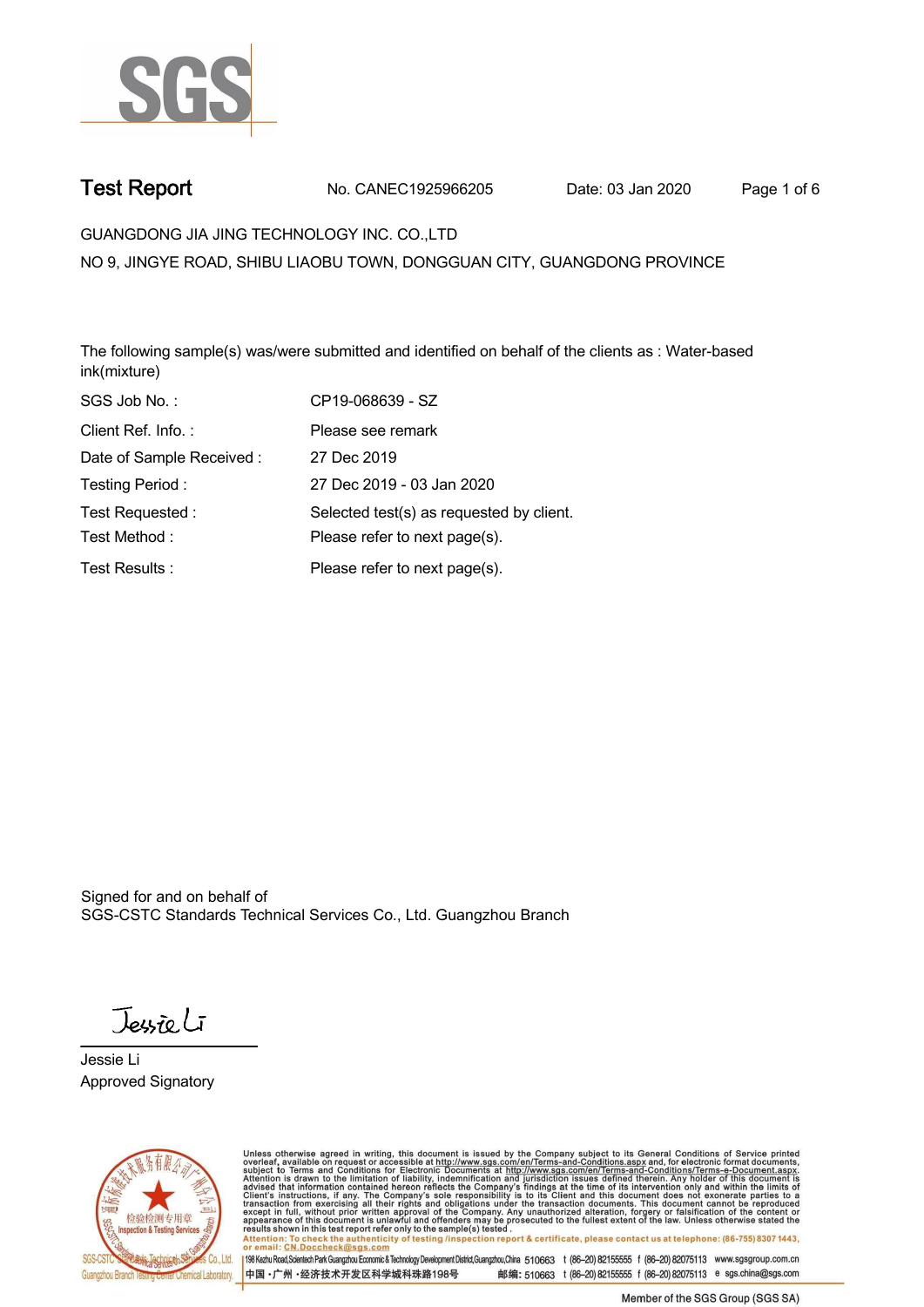

**Test Report. No. CANEC1925966205 Date: 03 Jan 2020. Page 1 of 6.**

**GUANGDONG JIA JING TECHNOLOGY INC. CO.,LTD .**

**NO 9, JINGYE ROAD, SHIBU LIAOBU TOWN, DONGGUAN CITY, GUANGDONG PROVINCE**

**The following sample(s) was/were submitted and identified on behalf of the clients as : Water-based ink(mixture).**

| SGS Job No.:             | CP19-068639 - SZ                         |
|--------------------------|------------------------------------------|
| Client Ref. Info.:       | Please see remark                        |
| Date of Sample Received: | 27 Dec 2019                              |
| Testing Period:          | 27 Dec 2019 - 03 Jan 2020                |
| Test Requested:          | Selected test(s) as requested by client. |
| Test Method:             | Please refer to next page(s).            |
| Test Results:            | Please refer to next page(s).            |

Signed for and on behalf of SGS-CSTC Standards Technical Services Co., Ltd. Guangzhou Branch.

Jessieli

**Jessie Li. Approved Signatory .**



Unless otherwise agreed in writing, this document is issued by the Company subject to its General Conditions of Service printed<br>overleaf, available on request or accessible at http://www.sgs.com/en/Terms-and-Conditions.asp Attention: To check the authenticity of testing /inspection report & certificate, please contact us at telephone: (86-755) 8307 1443,<br>Attention: To check the authenticity of testing /inspection report & certificate, please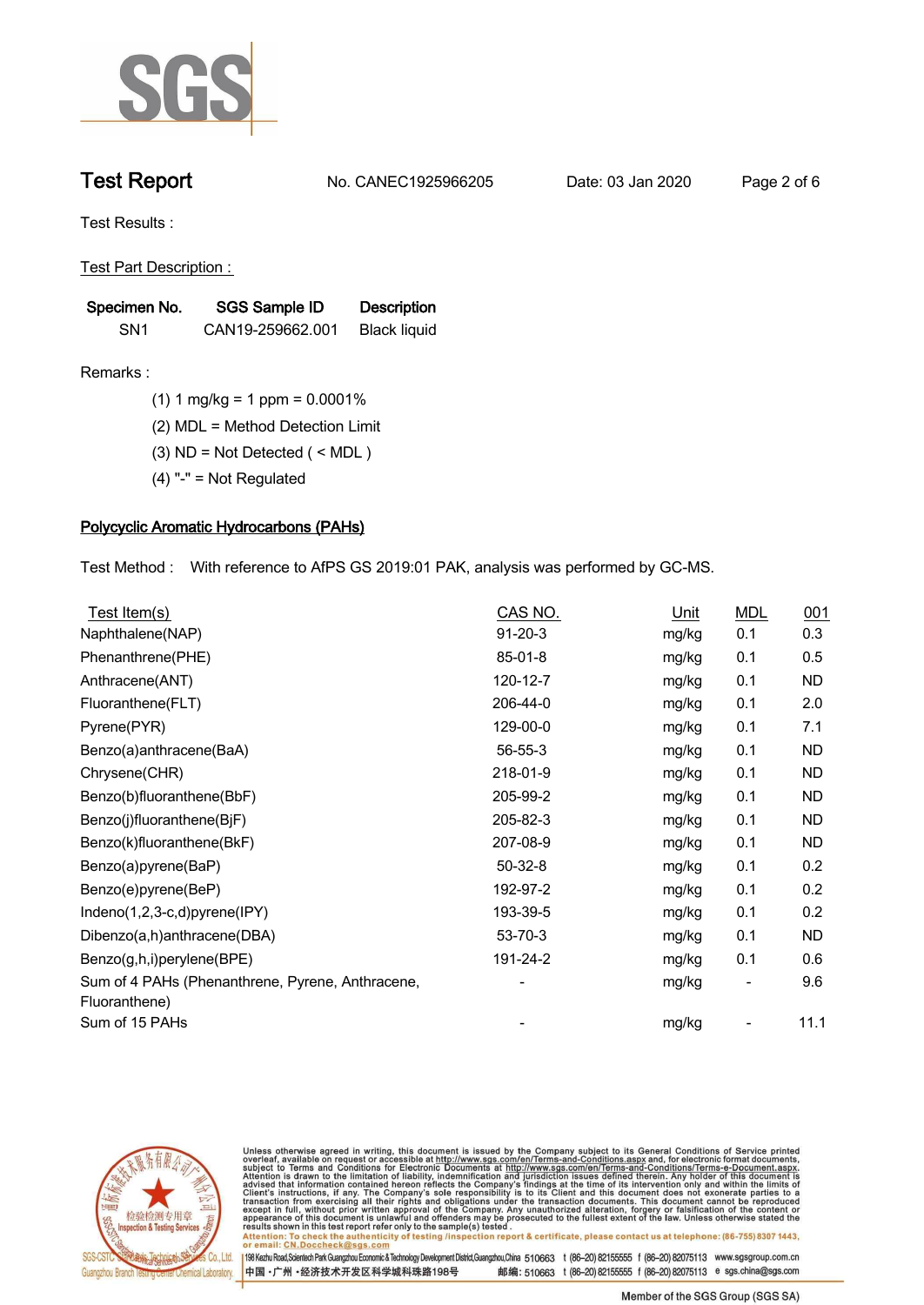

**Test Report. No. CANEC1925966205 Date: 03 Jan 2020. Page 2 of 6.**

**Test Results :.**

**Test Part Description : .**

| Specimen No.    | SGS Sample ID    | <b>Description</b>  |  |
|-----------------|------------------|---------------------|--|
| SN <sub>1</sub> | CAN19-259662.001 | <b>Black liquid</b> |  |

- **Remarks :.(1) 1 mg/kg = 1 ppm = 0.0001% .**
	- **(2) MDL = Method Detection Limit .**
	- **(3) ND = Not Detected ( < MDL ) .**
	- **(4) "-" = Not Regulated .**

# **Polycyclic Aromatic Hydrocarbons (PAHs).**

**Test Method :. With reference to AfPS GS 2019:01 PAK, analysis was performed by GC-MS. .**

| Test Item(s)                                                      | CAS NO.       | Unit  | <b>MDL</b> | 001       |
|-------------------------------------------------------------------|---------------|-------|------------|-----------|
| Naphthalene(NAP)                                                  | $91 - 20 - 3$ | mg/kg | 0.1        | 0.3       |
| Phenanthrene(PHE)                                                 | $85 - 01 - 8$ | mg/kg | 0.1        | 0.5       |
| Anthracene(ANT)                                                   | 120-12-7      | mg/kg | 0.1        | <b>ND</b> |
| Fluoranthene(FLT)                                                 | 206-44-0      | mg/kg | 0.1        | 2.0       |
| Pyrene(PYR)                                                       | 129-00-0      | mg/kg | 0.1        | 7.1       |
| Benzo(a)anthracene(BaA)                                           | $56 - 55 - 3$ | mg/kg | 0.1        | <b>ND</b> |
| Chrysene(CHR)                                                     | 218-01-9      | mg/kg | 0.1        | <b>ND</b> |
| Benzo(b)fluoranthene(BbF)                                         | 205-99-2      | mg/kg | 0.1        | <b>ND</b> |
| Benzo(j)fluoranthene(BjF)                                         | 205-82-3      | mg/kg | 0.1        | <b>ND</b> |
| Benzo(k)fluoranthene(BkF)                                         | 207-08-9      | mg/kg | 0.1        | <b>ND</b> |
| Benzo(a)pyrene(BaP)                                               | $50-32-8$     | mg/kg | 0.1        | 0.2       |
| Benzo(e)pyrene(BeP)                                               | 192-97-2      | mg/kg | 0.1        | 0.2       |
| Indeno(1,2,3-c,d)pyrene(IPY)                                      | 193-39-5      | mg/kg | 0.1        | 0.2       |
| Dibenzo(a,h)anthracene(DBA)                                       | 53-70-3       | mg/kg | 0.1        | ND        |
| Benzo(g,h,i)perylene(BPE)                                         | 191-24-2      | mg/kg | 0.1        | 0.6       |
| Sum of 4 PAHs (Phenanthrene, Pyrene, Anthracene,<br>Fluoranthene) |               | mg/kg |            | 9.6       |
| Sum of 15 PAHs                                                    |               | mg/kg |            | 11.1      |



Unless otherwise agreed in writing, this document is issued by the Company subject to its General Conditions of Service printed<br>overleaf, available on request or accessible at http://www.sgs.com/en/Terms-and-Conditions.asp

results shown in this test report refer only to the sample(s) tested .<br>Attention: To check the authenticity of testing /inspection report & certificate, please contact us at telephone: (86-755) 8307 1443,<br>or email: <u>CN.Doc</u>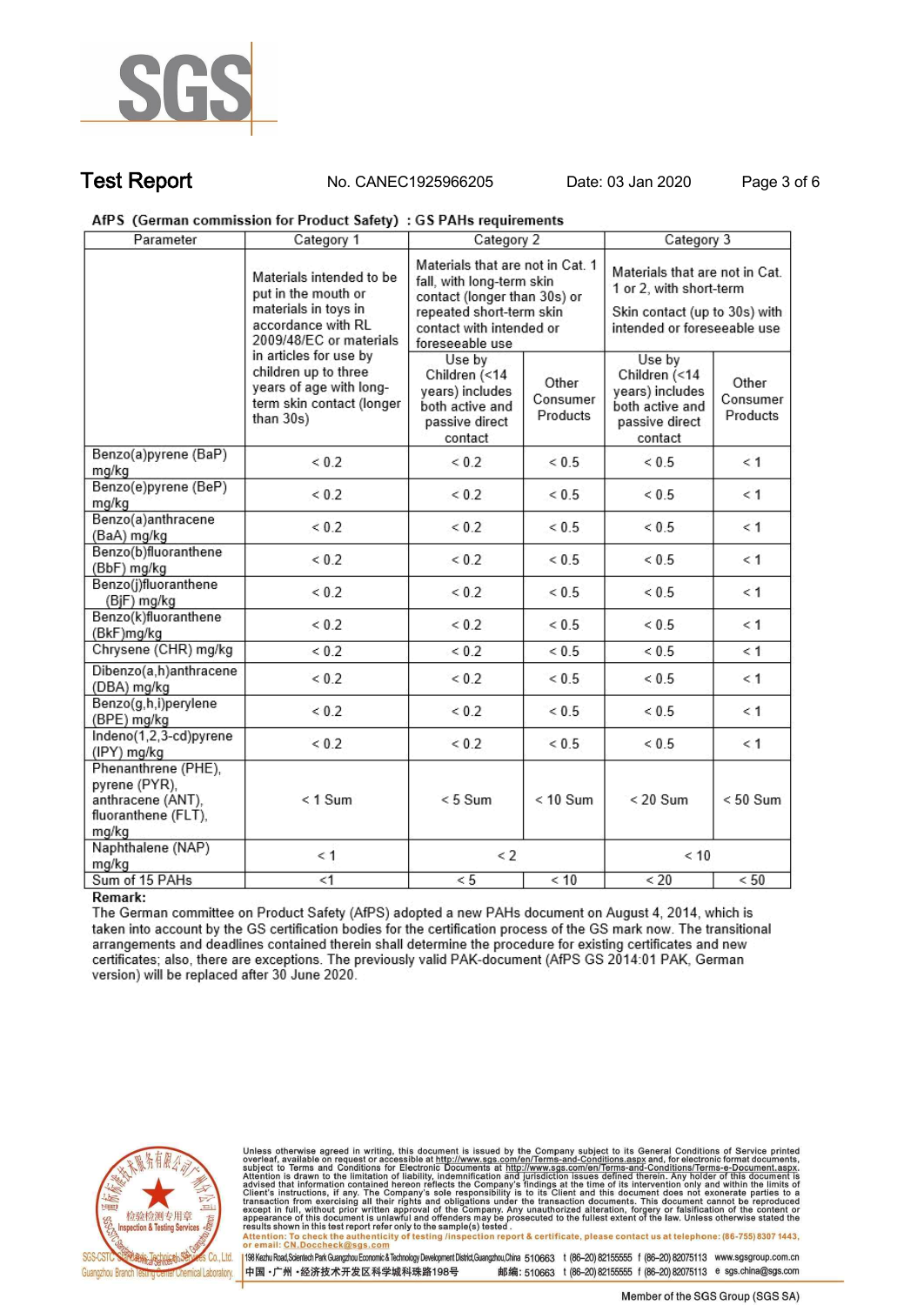

**Test Report. No. CANEC1925966205 Date: 03 Jan 2020. Page 3 of 6.**

AfPS (German commission for Product Safety) : GS PAHs requirements

| Parameter                                                                                                                | Category 1                                           | Category 2                                                                                                                                                               |                               | Category 3                                                                                                                |                               |
|--------------------------------------------------------------------------------------------------------------------------|------------------------------------------------------|--------------------------------------------------------------------------------------------------------------------------------------------------------------------------|-------------------------------|---------------------------------------------------------------------------------------------------------------------------|-------------------------------|
| Materials intended to be<br>put in the mouth or<br>materials in toys in<br>accordance with RL<br>2009/48/EC or materials |                                                      | Materials that are not in Cat. 1<br>fall, with long-term skin<br>contact (longer than 30s) or<br>repeated short-term skin<br>contact with intended or<br>foreseeable use |                               | Materials that are not in Cat.<br>1 or 2, with short-term<br>Skin contact (up to 30s) with<br>intended or foreseeable use |                               |
| in articles for use by<br>children up to three<br>than 30s)                                                              | years of age with long-<br>term skin contact (longer | Use by<br>Children (<14<br>years) includes<br>both active and<br>passive direct<br>contact                                                                               | Other<br>Consumer<br>Products | Use by<br>Children (<14<br>years) includes<br>both active and<br>passive direct<br>contact                                | Other<br>Consumer<br>Products |
| Benzo(a)pyrene (BaP)<br>mg/kg                                                                                            | < 0.2                                                | < 0.2                                                                                                                                                                    | < 0.5                         | ${}< 0.5$                                                                                                                 | < 1                           |
| Benzo(e)pyrene (BeP)<br>mg/kg                                                                                            | < 0.2                                                | < 0.2                                                                                                                                                                    | < 0.5                         | < 0.5                                                                                                                     | < 1                           |
| Benzo(a)anthracene<br>(BaA) mg/kg                                                                                        | < 0.2                                                | < 0.2                                                                                                                                                                    | ${}< 0.5$                     | ${}< 0.5$                                                                                                                 | < 1                           |
| Benzo(b)fluoranthene<br>(BbF) mg/kg                                                                                      | ${}_{0.2}$                                           | < 0.2                                                                                                                                                                    | ${}< 0.5$                     | ${}< 0.5$                                                                                                                 | < 1                           |
| Benzo(j)fluoranthene<br>(BjF) mg/kg                                                                                      | ${}< 0.2$                                            | ${}_{0.2}$                                                                                                                                                               | < 0.5                         | ${}< 0.5$                                                                                                                 | < 1                           |
| Benzo(k)fluoranthene<br>(BkF)mg/kg                                                                                       | < 0.2                                                | < 0.2                                                                                                                                                                    | < 0.5                         | ${}< 0.5$                                                                                                                 | < 1                           |
| Chrysene (CHR) mg/kg                                                                                                     | ${}< 0.2$                                            | ${}< 0.2$                                                                                                                                                                | ${}< 0.5$                     | ${}< 0.5$                                                                                                                 | < 1                           |
| Dibenzo(a,h)anthracene<br>(DBA) mg/kg                                                                                    | < 0.2                                                | < 0.2                                                                                                                                                                    | ${}< 0.5$                     | ${}_{< 0.5}$                                                                                                              | < 1                           |
| Benzo(g,h,i)perylene<br>(BPE) mg/kg                                                                                      | < 0.2                                                | < 0.2                                                                                                                                                                    | < 0.5                         | <0.5                                                                                                                      | < 1                           |
| Indeno(1,2,3-cd)pyrene<br>(IPY) mg/kg                                                                                    | < 0.2                                                | ${}< 0.2$                                                                                                                                                                | ${}< 0.5$                     | <0.5                                                                                                                      | &1                            |
| Phenanthrene (PHE),<br>pyrene (PYR),<br>anthracene (ANT),<br>fluoranthene (FLT),<br>mg/kg                                | $< 1$ Sum                                            | $< 5$ Sum                                                                                                                                                                | $< 10$ Sum                    | $< 20$ Sum                                                                                                                | $< 50$ Sum                    |
| Naphthalene (NAP)<br>mg/kg                                                                                               | $\leq 1$                                             | $\leq$ 2                                                                                                                                                                 |                               | < 10                                                                                                                      |                               |
| Sum of 15 PAHs                                                                                                           | $\leq 1$                                             | < 5                                                                                                                                                                      | < 10                          | < 20                                                                                                                      | < 50                          |

# Remark:

The German committee on Product Safety (AfPS) adopted a new PAHs document on August 4, 2014, which is taken into account by the GS certification bodies for the certification process of the GS mark now. The transitional arrangements and deadlines contained therein shall determine the procedure for existing certificates and new certificates; also, there are exceptions. The previously valid PAK-document (AfPS GS 2014:01 PAK, German version) will be replaced after 30 June 2020.



Unless otherwise agreed in writing, this document is issued by the Company subject to its General Conditions of Service printed overleaf, available on request or accessible at http://www.sgs.com/en/Terms-and-Conditions.asp résults shown in this test report refer only to the sample(s) tésted .<br>Attention: To check the authenticity of testing /inspection report & certificate, please contact us at telephone: (86-755) 8307 1443,<br>or email: <u>CN.Doc</u>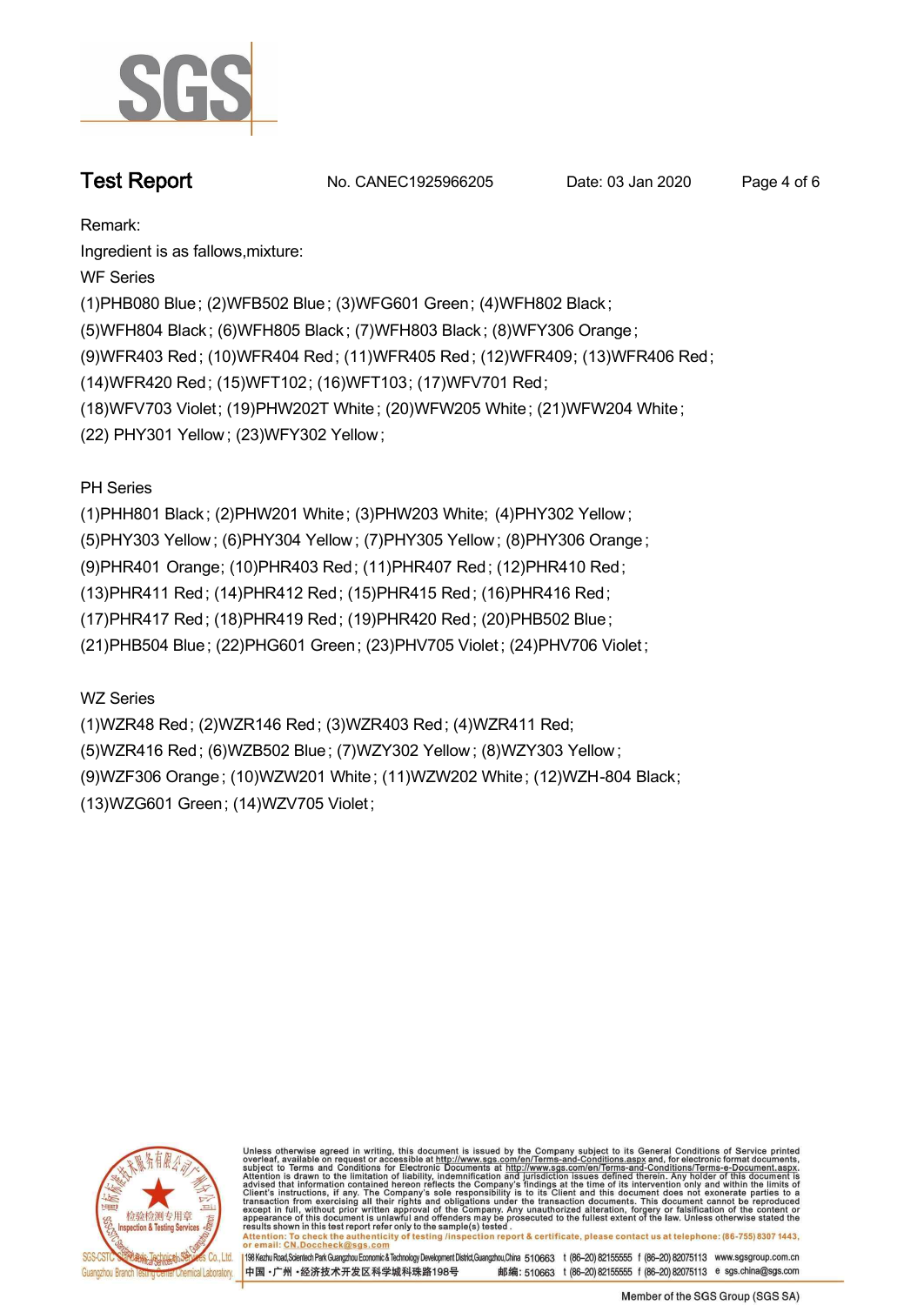

**Test Report. No. CANEC1925966205** Date: 03 Jan 2020 Page 4 of 6

**Remark:**

**Ingredient is as fallows,mixture:**

**WF Series**

**(1)PHB080 Blue; (2)WFB502 Blue; (3)WFG601 Green; (4)WFH802 Black ;**

**(5)WFH804 Black ; (6)WFH805 Black ; (7)WFH803 Black ; (8)WFY306 Orange;**

**(9)WFR403 Red; (10)WFR404 Red; (11)WFR405 Red; (12)WFR409; (13)WFR406 Red;**

**(14)WFR420 Red; (15)WFT102; (16)WFT103; (17)WFV701 Red;**

**(18)WFV703 Violet; (19)PHW202T White ; (20)WFW205 White; (21)WFW204 White;**

**(22) PHY301 Yellow ; (23)WFY302 Yellow ;**

**PH Series**

**(1)PHH801 Black ; (2)PHW201 White; (3)PHW203 White; (4)PHY302 Yellow ;**

**(5)PHY303 Yellow ; (6)PHY304 Yellow ; (7)PHY305 Yellow ; (8)PHY306 Orange ;**

**(9)PHR401 Orange; (10)PHR403 Red; (11)PHR407 Red; (12)PHR410 Red;**

**(13)PHR411 Red; (14)PHR412 Red; (15)PHR415 Red; (16)PHR416 Red;**

**(17)PHR417 Red; (18)PHR419 Red; (19)PHR420 Red; (20)PHB502 Blue;**

**(21)PHB504 Blue; (22)PHG601 Green; (23)PHV705 Violet ; (24)PHV706 Violet ;**

**WZ Series**

**(1)WZR48 Red; (2)WZR146 Red; (3)WZR403 Red; (4)WZR411 Red; (5)WZR416 Red; (6)WZB502 Blue; (7)WZY302 Yellow ; (8)WZY303 Yellow ; (9)WZF306 Orange; (10)WZW201 White; (11)WZW202 White; (12)WZH-804 Black; (13)WZG601 Green; (14)WZV705 Violet;**



Unless otherwise agreed in writing, this document is issued by the Company subject to its General Conditions of Service printed overleaf, available on request or accessible at http://www.sgs.com/en/Terms-and-Conditions.asp resums shown in mas lost report tells with one sample(s) lesied .<br>Attention: To check the authenticity of testing /inspection report & certificate, please contact us at telephone: (86-755) 8307 1443,<br>or email: <u>CN.Doccheck</u>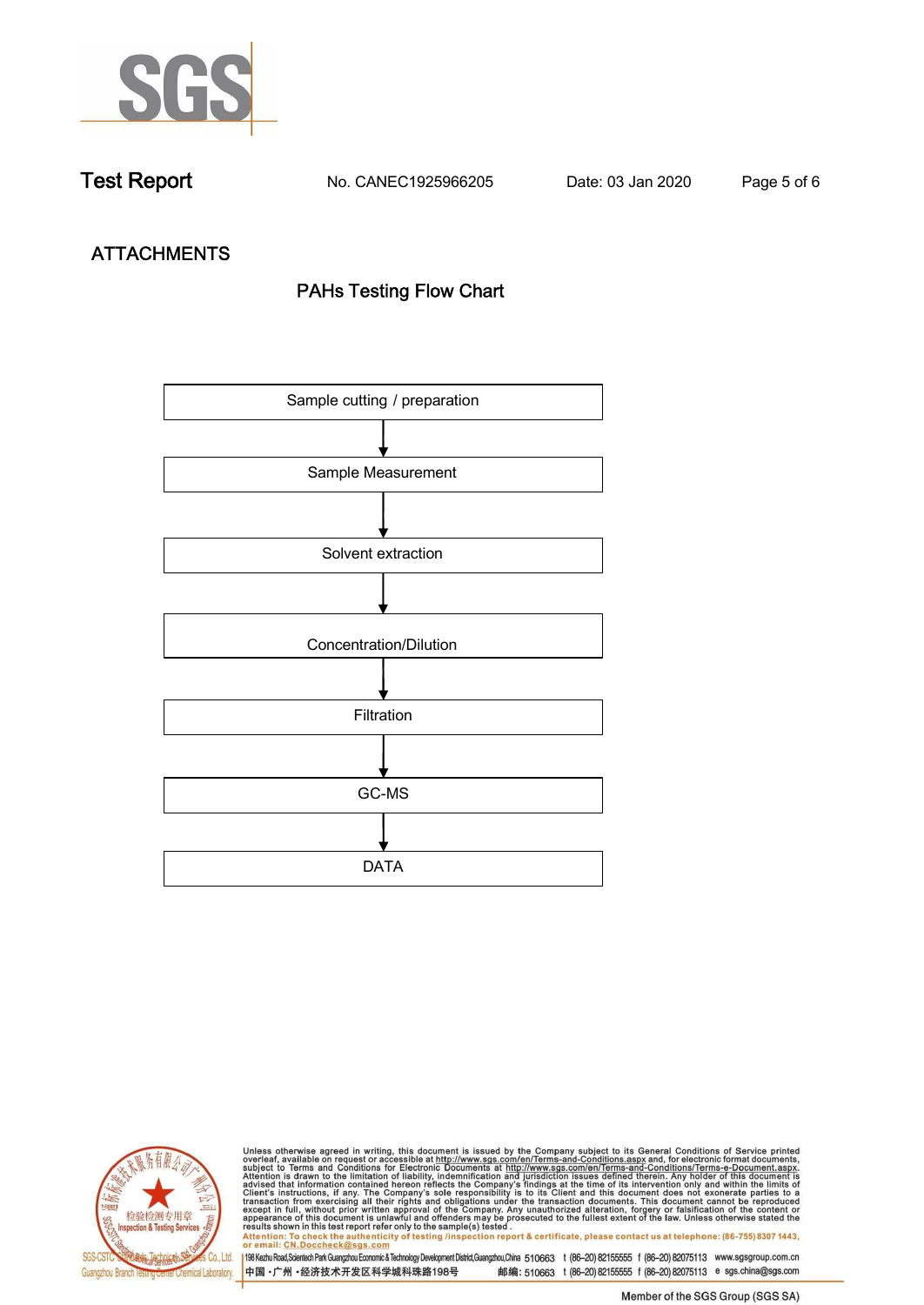

**Test Report. No. CANEC1925966205 Date: 03 Jan 2020. Page 5 of 6.**

# **ATTACHMENTS PAHs Testing Flow Chart**





Unless otherwise agreed in writing, this document is issued by the Company subject to its General Conditions of Service printed<br>overleaf, available on request or accessible at http://www.sgs.com/en/Terms-and-Conditions.asp results shown in this test report refer only to the sample(s) tested .<br>Attention: To check the authenticity of testing /inspection report & certificate, please contact us at telephone: (86-755) 8307 1443,<br>or email: <u>CN.Doc</u>